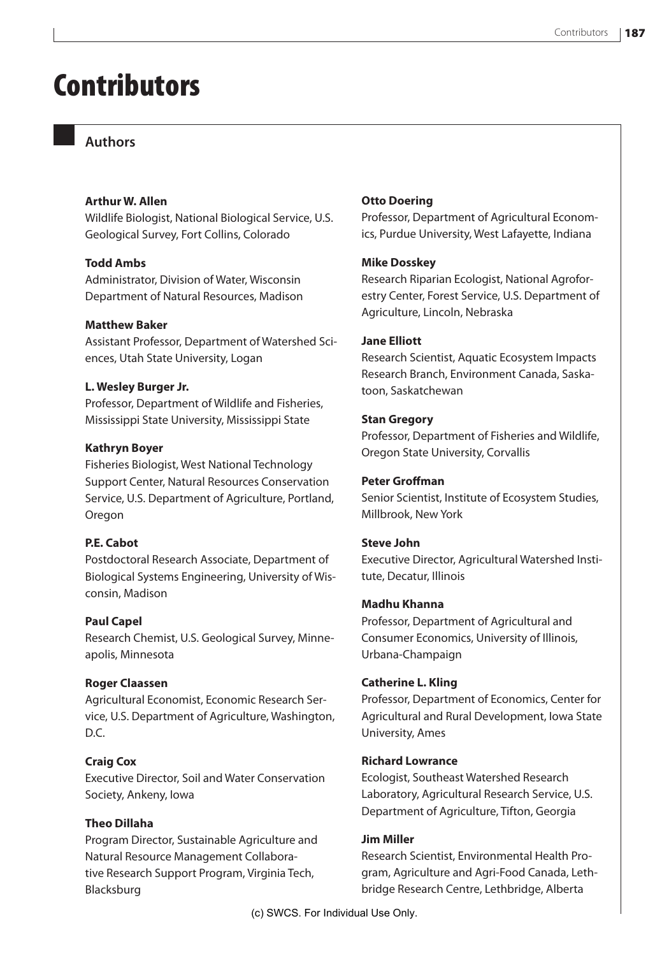# **Contributors**

# **Authors**

## **Arthur W. Allen**

Wildlife Biologist, National Biological Service, U.S. Geological Survey, Fort Collins, Colorado

## **Todd Ambs**

Administrator, Division of Water, Wisconsin Department of Natural Resources, Madison

## **Matthew Baker**

Assistant Professor, Department of Watershed Sciences, Utah State University, Logan

## **L. Wesley Burger Jr.**

Professor, Department of Wildlife and Fisheries, Mississippi State University, Mississippi State

## **Kathryn Boyer**

Fisheries Biologist, West National Technology Support Center, Natural Resources Conservation Service, U.S. Department of Agriculture, Portland, Oregon

## **P.E. Cabot**

Postdoctoral Research Associate, Department of Biological Systems Engineering, University of Wisconsin, Madison

## **Paul Capel**

Research Chemist, U.S. Geological Survey, Minneapolis, Minnesota

## **Roger Claassen**

Agricultural Economist, Economic Research Service, U.S. Department of Agriculture, Washington, D.C.

## **Craig Cox**

Executive Director, Soil and Water Conservation Society, Ankeny, Iowa

## **Theo Dillaha**

Program Director, Sustainable Agriculture and Natural Resource Management Collaborative Research Support Program, Virginia Tech, Blacksburg

## **Otto Doering**

Professor, Department of Agricultural Economics, Purdue University, West Lafayette, Indiana

## **Mike Dosskey**

Research Riparian Ecologist, National Agroforestry Center, Forest Service, U.S. Department of Agriculture, Lincoln, Nebraska

## **Jane Elliott**

Research Scientist, Aquatic Ecosystem Impacts Research Branch, Environment Canada, Saskatoon, Saskatchewan

## **Stan Gregory**

Professor, Department of Fisheries and Wildlife, Oregon State University, Corvallis

#### **Peter Groffman**

Senior Scientist, Institute of Ecosystem Studies, Millbrook, New York

#### **Steve John**

Executive Director, Agricultural Watershed Institute, Decatur, Illinois

#### **Madhu Khanna**

Professor, Department of Agricultural and Consumer Economics, University of Illinois, Urbana-Champaign

## **Catherine L. Kling**

Professor, Department of Economics, Center for Agricultural and Rural Development, Iowa State University, Ames

#### **Richard Lowrance**

Ecologist, Southeast Watershed Research Laboratory, Agricultural Research Service, U.S. Department of Agriculture, Tifton, Georgia

## **Jim Miller**

Research Scientist, Environmental Health Program, Agriculture and Agri-Food Canada, Lethbridge Research Centre, Lethbridge, Alberta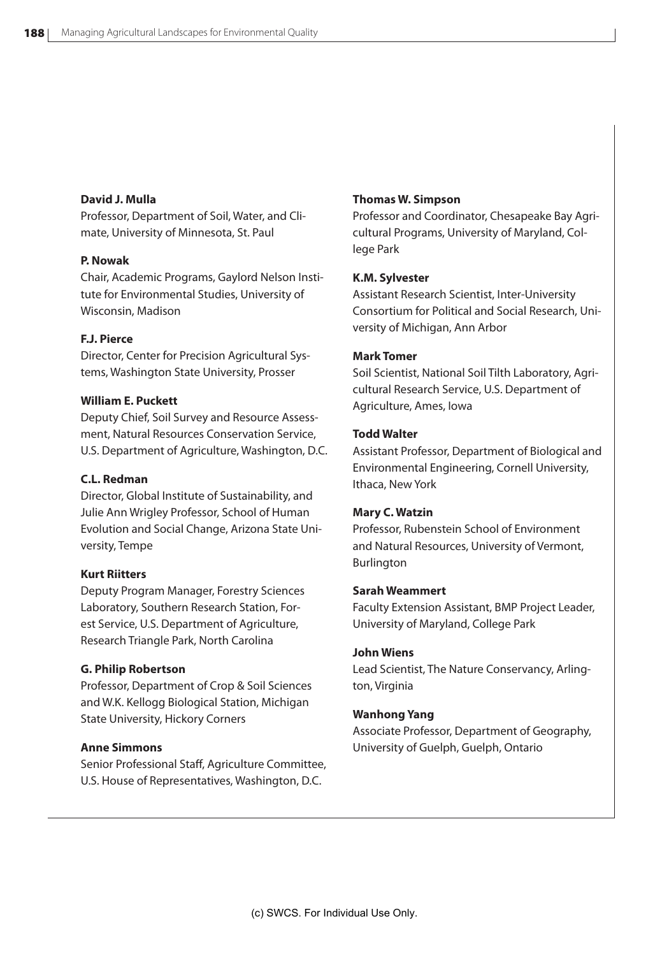#### **David J. Mulla**

Professor, Department of Soil, Water, and Climate, University of Minnesota, St. Paul

#### **P. Nowak**

Chair, Academic Programs, Gaylord Nelson Institute for Environmental Studies, University of Wisconsin, Madison

#### **F.J. Pierce**

Director, Center for Precision Agricultural Systems, Washington State University, Prosser

#### **William E. Puckett**

Deputy Chief, Soil Survey and Resource Assessment, Natural Resources Conservation Service, U.S. Department of Agriculture, Washington, D.C.

#### **C.L. Redman**

Director, Global Institute of Sustainability, and Julie Ann Wrigley Professor, School of Human Evolution and Social Change, Arizona State University, Tempe

#### **Kurt Riitters**

Deputy Program Manager, Forestry Sciences Laboratory, Southern Research Station, Forest Service, U.S. Department of Agriculture, Research Triangle Park, North Carolina

#### **G. Philip Robertson**

Professor, Department of Crop & Soil Sciences and W.K. Kellogg Biological Station, Michigan State University, Hickory Corners

#### **Anne Simmons**

Senior Professional Staff, Agriculture Committee, U.S. House of Representatives, Washington, D.C.

#### **Thomas W. Simpson**

Professor and Coordinator, Chesapeake Bay Agricultural Programs, University of Maryland, College Park

#### **K.M. Sylvester**

Assistant Research Scientist, Inter-University Consortium for Political and Social Research, University of Michigan, Ann Arbor

#### **Mark Tomer**

Soil Scientist, National Soil Tilth Laboratory, Agricultural Research Service, U.S. Department of Agriculture, Ames, Iowa

#### **Todd Walter**

Assistant Professor, Department of Biological and Environmental Engineering, Cornell University, Ithaca, New York

#### **Mary C. Watzin**

Professor, Rubenstein School of Environment and Natural Resources, University of Vermont, Burlington

#### **Sarah Weammert**

Faculty Extension Assistant, BMP Project Leader, University of Maryland, College Park

#### **John Wiens**

Lead Scientist, The Nature Conservancy, Arlington, Virginia

#### **Wanhong Yang**

Associate Professor, Department of Geography, University of Guelph, Guelph, Ontario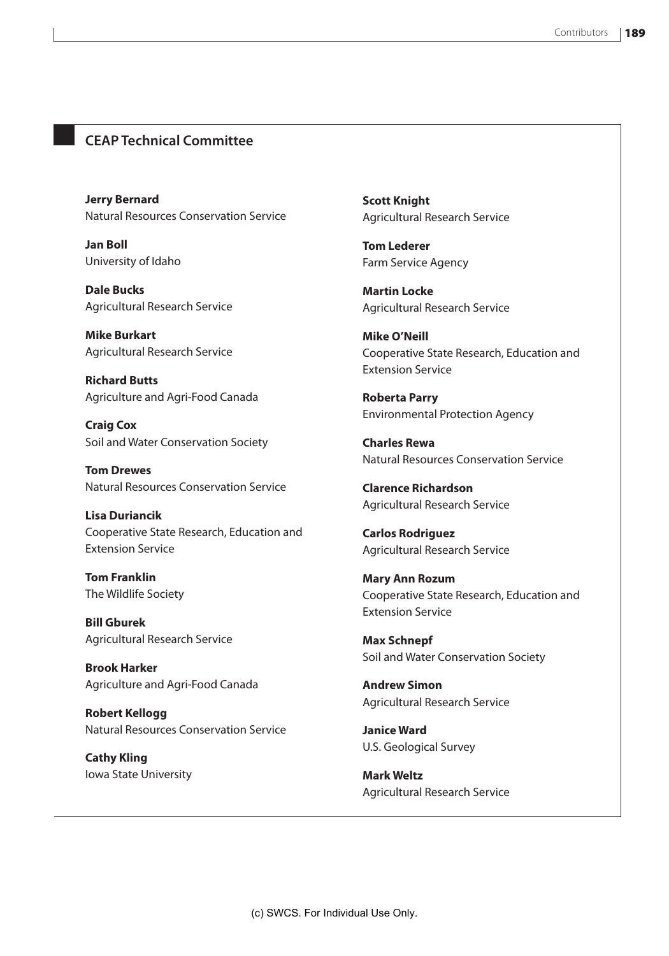## **CEAP Technical Committee**

**Jerry Bernard**  Natural Resources Conservation Service

**Jan Boll** University of Idaho

**Dale Bucks** Agricultural Research Service

**Mike Burkart** Agricultural Research Service

**Richard Butts** Agriculture and Agri-Food Canada

**Craig Cox** Soil and Water Conservation Society

**Tom Drewes** Natural Resources Conservation Service

**Lisa Duriancik** Cooperative State Research, Education and Extension Service

**Tom Franklin** The Wildlife Society

**Bill Gburek** Agricultural Research Service

**Brook Harker** Agriculture and Agri-Food Canada

**Robert Kellogg** Natural Resources Conservation Service

**Cathy Kling** Iowa State University **Scott Knight** Agricultural Research Service

**Tom Lederer** Farm Service Agency

**Martin Locke** Agricultural Research Service

**Mike O'Neill** Cooperative State Research, Education and Extension Service

**Roberta Parry** Environmental Protection Agency

**Charles Rewa** Natural Resources Conservation Service

**Clarence Richardson** Agricultural Research Service

**Carlos Rodriguez** Agricultural Research Service

**Mary Ann Rozum** Cooperative State Research, Education and Extension Service

**Max Schnepf** Soil and Water Conservation Society

**Andrew Simon** Agricultural Research Service

**Janice Ward** U.S. Geological Survey

**Mark Weltz** Agricultural Research Service